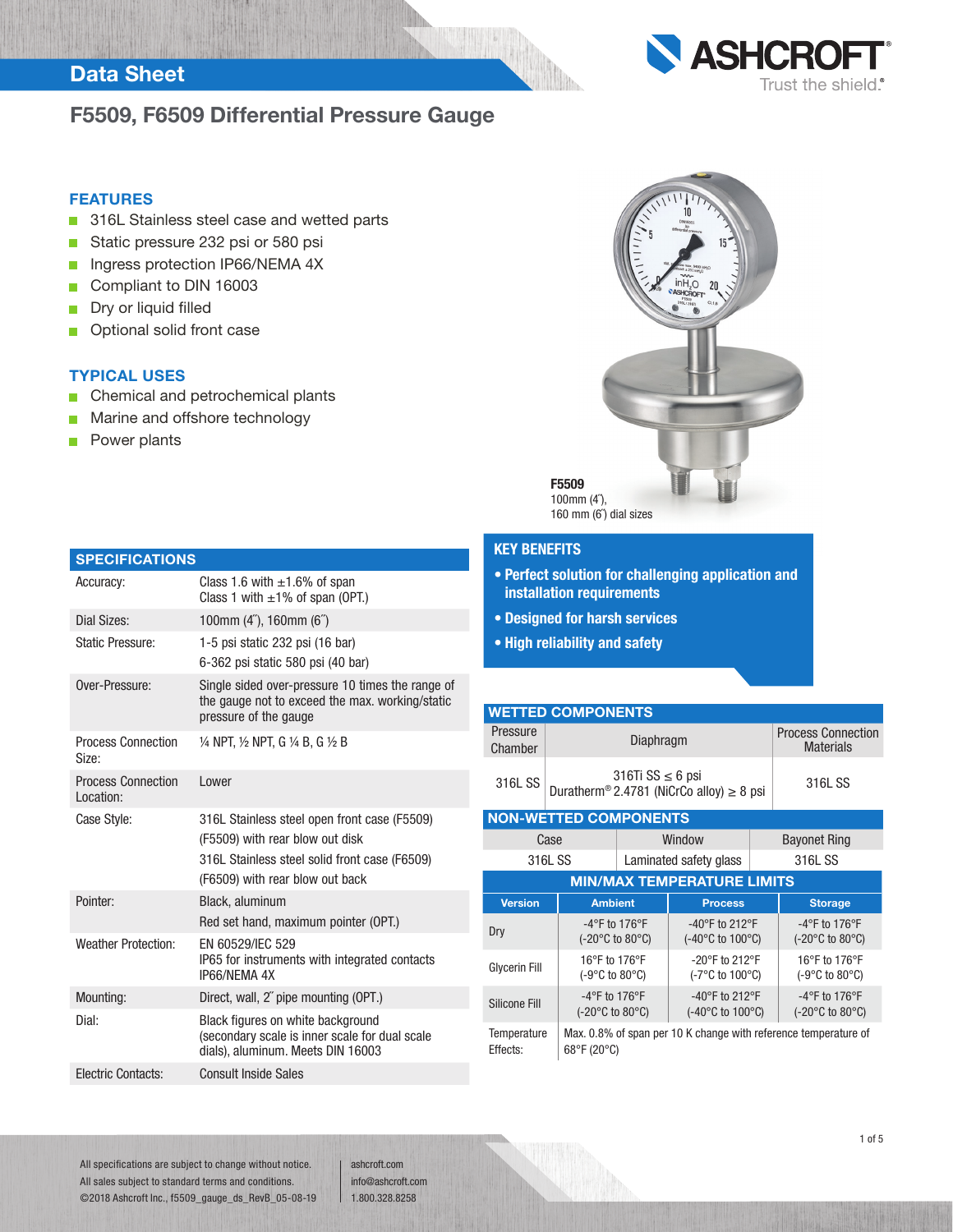## Data Sheet

## F5509, F6509 Differential Pressure Gauge



### FEATURES

- 316L Stainless steel case and wetted parts п
- Static pressure 232 psi or 580 psi  $\Box$
- Ingress protection IP66/NEMA 4X П
- $\blacksquare$ Compliant to DIN 16003
- Dry or liquid filled  $\blacksquare$
- Optional solid front case  $\blacksquare$

## TYPICAL USES

Chemical and petrochemical plants П

Accuracy: Class 1.6 with  $\pm$ 1.6% of span

Dial Sizes: 100mm (4˝), 160mm (6˝)

- Marine and offshore technology п
- Power plants П

**SPECIFICATIONS** 



## KEY BENEFITS

- Perfect solution for challenging application and installation requirements
- Designed for harsh services
- High reliability and safety

| <b>Static Pressure:</b>                | 1-5 psi static 232 psi (16 bar)<br>6-362 psi static 580 psi (40 bar)                                                                                                |
|----------------------------------------|---------------------------------------------------------------------------------------------------------------------------------------------------------------------|
| Over-Pressure:                         | Single sided over-pressure 10 times the range of<br>the gauge not to exceed the max. working/static<br>pressure of the gauge                                        |
| <b>Process Connection</b><br>Size:     | 1/4 NPT, 1/2 NPT, G 1/4 B, G 1/2 B                                                                                                                                  |
| <b>Process Connection</b><br>Location: | Lower                                                                                                                                                               |
| Case Style:                            | 316L Stainless steel open front case (F5509)<br>(F5509) with rear blow out disk<br>316L Stainless steel solid front case (F6509)<br>(F6509) with rear blow out back |
| Pointer:                               | Black, aluminum<br>Red set hand, maximum pointer (OPT.)                                                                                                             |
| <b>Weather Protection:</b>             | FN 60529/IFC 529<br>IP65 for instruments with integrated contacts<br>IP66/NFMA 4X                                                                                   |
| Mounting:                              | Direct, wall, 2" pipe mounting (OPT.)                                                                                                                               |
| Dial:                                  | Black figures on white background<br>(secondary scale is inner scale for dual scale<br>dials), aluminum. Meets DIN 16003                                            |
| <b>Electric Contacts:</b>              | <b>Consult Inside Sales</b>                                                                                                                                         |

Class 1 with  $\pm 1\%$  of span (OPT.)

#### WETTED COMPONENTS Pressure Pressure Diaphragm Process Connection<br>
Chamber Materials **Materials**

| 316L SS | 316Ti SS $\leq$ 6 psi<br>Duratherm <sup>®</sup> 2.4781 (NiCrCo alloy) $\geq 8$ psi | 316L SS |
|---------|------------------------------------------------------------------------------------|---------|
|---------|------------------------------------------------------------------------------------|---------|

NON-WETTED COMPONENTS Case | Window | Bayonet Ring 316L SS | Laminated safety glass | 316L SS MIN/MAX TEMPERATURE LIMITS Version | Ambient | Process | Storage  $\begin{array}{c|c}\n\text{Drv} \\
\text{Drv} \\
\text{or} \\
\text{or} \\
\text{or} \\
\text{or} \\
\text{or} \\
\text{or} \\
\text{or} \\
\text{or} \\
\text{or} \\
\text{or} \\
\text{or} \\
\text{or} \\
\text{or} \\
\text{or} \\
\text{or} \\
\text{or} \\
\text{or} \\
\text{or} \\
\text{or} \\
\text{or} \\
\text{or} \\
\text{or} \\
\text{or} \\
\text{or} \\
\text{or} \\
\text{or} \\
\text{or} \\
\text{or} \\
\text{or} \\
\text{or} \\
\text{or} \\
\text{or} \\
\text{or$ (-20°C to 80°C) -40°F to 212°F (-40°C to 100°C) -4°F to 176°F (-20°C to 80°C) Glycerin Fill 16°F to 176°F (-9°C to 80°C) -20°F to 212°F (-7°C to 100°C) 16°F to 176°F (-9°C to 80°C) Silicone Fill -4°F to 176°F (-20°C to 80°C) -40°F to 212°F (-40°C to 100°C) -4°F to 176°F (-20°C to 80°C) **Temperature** Effects: Max. 0.8% of span per 10 K change with reference temperature of 68°F (20°C)

All specifications are subject to change without notice. All sales subject to standard terms and conditions. ©2018 Ashcroft Inc., f5509\_gauge\_ds\_RevB\_05-08-19 ashcroft.com info@ashcroft.com 1.800.328.8258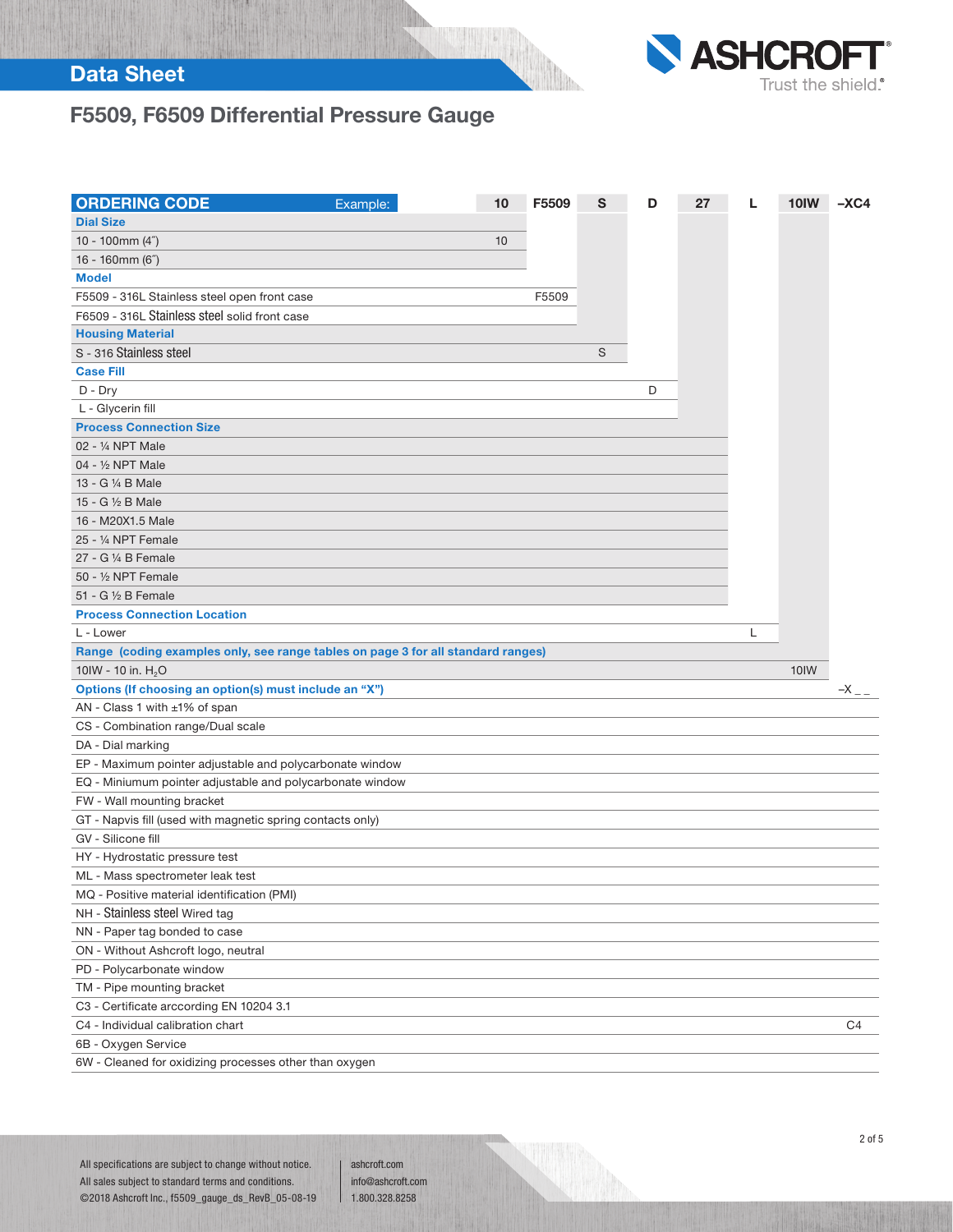## Data Sheet



# F5509, F6509 Differential Pressure Gauge

| <b>ORDERING CODE</b>                                                             | Example: | 10 | F5509 | S | D | 27 | L | 10IW | $-XC4$             |
|----------------------------------------------------------------------------------|----------|----|-------|---|---|----|---|------|--------------------|
| <b>Dial Size</b>                                                                 |          |    |       |   |   |    |   |      |                    |
| 10 - 100mm $(4")$                                                                |          | 10 |       |   |   |    |   |      |                    |
| 16 - 160mm (6")                                                                  |          |    |       |   |   |    |   |      |                    |
| <b>Model</b>                                                                     |          |    |       |   |   |    |   |      |                    |
| F5509 - 316L Stainless steel open front case                                     |          |    | F5509 |   |   |    |   |      |                    |
| F6509 - 316L Stainless steel solid front case                                    |          |    |       |   |   |    |   |      |                    |
| <b>Housing Material</b>                                                          |          |    |       |   |   |    |   |      |                    |
| S - 316 Stainless steel                                                          |          |    |       | S |   |    |   |      |                    |
| <b>Case Fill</b>                                                                 |          |    |       |   |   |    |   |      |                    |
| $D$ - $Dry$                                                                      |          |    |       |   | D |    |   |      |                    |
| L - Glycerin fill                                                                |          |    |       |   |   |    |   |      |                    |
| <b>Process Connection Size</b>                                                   |          |    |       |   |   |    |   |      |                    |
| 02 - 1/4 NPT Male                                                                |          |    |       |   |   |    |   |      |                    |
| 04 - 1/2 NPT Male                                                                |          |    |       |   |   |    |   |      |                    |
| 13 - G 1/4 B Male                                                                |          |    |       |   |   |    |   |      |                    |
| 15 - G 1/2 B Male                                                                |          |    |       |   |   |    |   |      |                    |
| 16 - M20X1.5 Male                                                                |          |    |       |   |   |    |   |      |                    |
| 25 - 1/4 NPT Female                                                              |          |    |       |   |   |    |   |      |                    |
| 27 - G 1/4 B Female                                                              |          |    |       |   |   |    |   |      |                    |
| 50 - 1/2 NPT Female                                                              |          |    |       |   |   |    |   |      |                    |
| 51 - G 1/2 B Female                                                              |          |    |       |   |   |    |   |      |                    |
| <b>Process Connection Location</b>                                               |          |    |       |   |   |    |   |      |                    |
| L - Lower                                                                        |          |    |       |   |   |    | L |      |                    |
| Range (coding examples only, see range tables on page 3 for all standard ranges) |          |    |       |   |   |    |   |      |                    |
| 10IW - 10 in. H <sub>2</sub> O                                                   |          |    |       |   |   |    |   | 10IW |                    |
| Options (If choosing an option(s) must include an "X")                           |          |    |       |   |   |    |   |      | $-X$ <sub>--</sub> |
| AN - Class 1 with ±1% of span                                                    |          |    |       |   |   |    |   |      |                    |
| CS - Combination range/Dual scale                                                |          |    |       |   |   |    |   |      |                    |
| DA - Dial marking                                                                |          |    |       |   |   |    |   |      |                    |
| EP - Maximum pointer adjustable and polycarbonate window                         |          |    |       |   |   |    |   |      |                    |
| EQ - Miniumum pointer adjustable and polycarbonate window                        |          |    |       |   |   |    |   |      |                    |
| FW - Wall mounting bracket                                                       |          |    |       |   |   |    |   |      |                    |
| GT - Napvis fill (used with magnetic spring contacts only)                       |          |    |       |   |   |    |   |      |                    |
| GV - Silicone fill                                                               |          |    |       |   |   |    |   |      |                    |
| HY - Hydrostatic pressure test                                                   |          |    |       |   |   |    |   |      |                    |
| ML - Mass spectrometer leak test                                                 |          |    |       |   |   |    |   |      |                    |
| MQ - Positive material identification (PMI)                                      |          |    |       |   |   |    |   |      |                    |
| NH - Stainless steel Wired tag                                                   |          |    |       |   |   |    |   |      |                    |
|                                                                                  |          |    |       |   |   |    |   |      |                    |
|                                                                                  |          |    |       |   |   |    |   |      |                    |
| NN - Paper tag bonded to case                                                    |          |    |       |   |   |    |   |      |                    |
| ON - Without Ashcroft logo, neutral                                              |          |    |       |   |   |    |   |      |                    |
| PD - Polycarbonate window                                                        |          |    |       |   |   |    |   |      |                    |
| TM - Pipe mounting bracket                                                       |          |    |       |   |   |    |   |      |                    |
| C3 - Certificate arccording EN 10204 3.1                                         |          |    |       |   |   |    |   |      |                    |
| C4 - Individual calibration chart                                                |          |    |       |   |   |    |   |      | C4                 |
| 6B - Oxygen Service<br>6W - Cleaned for oxidizing processes other than oxygen    |          |    |       |   |   |    |   |      |                    |

ashcroft.com info@ashcroft.com 1.800.328.8258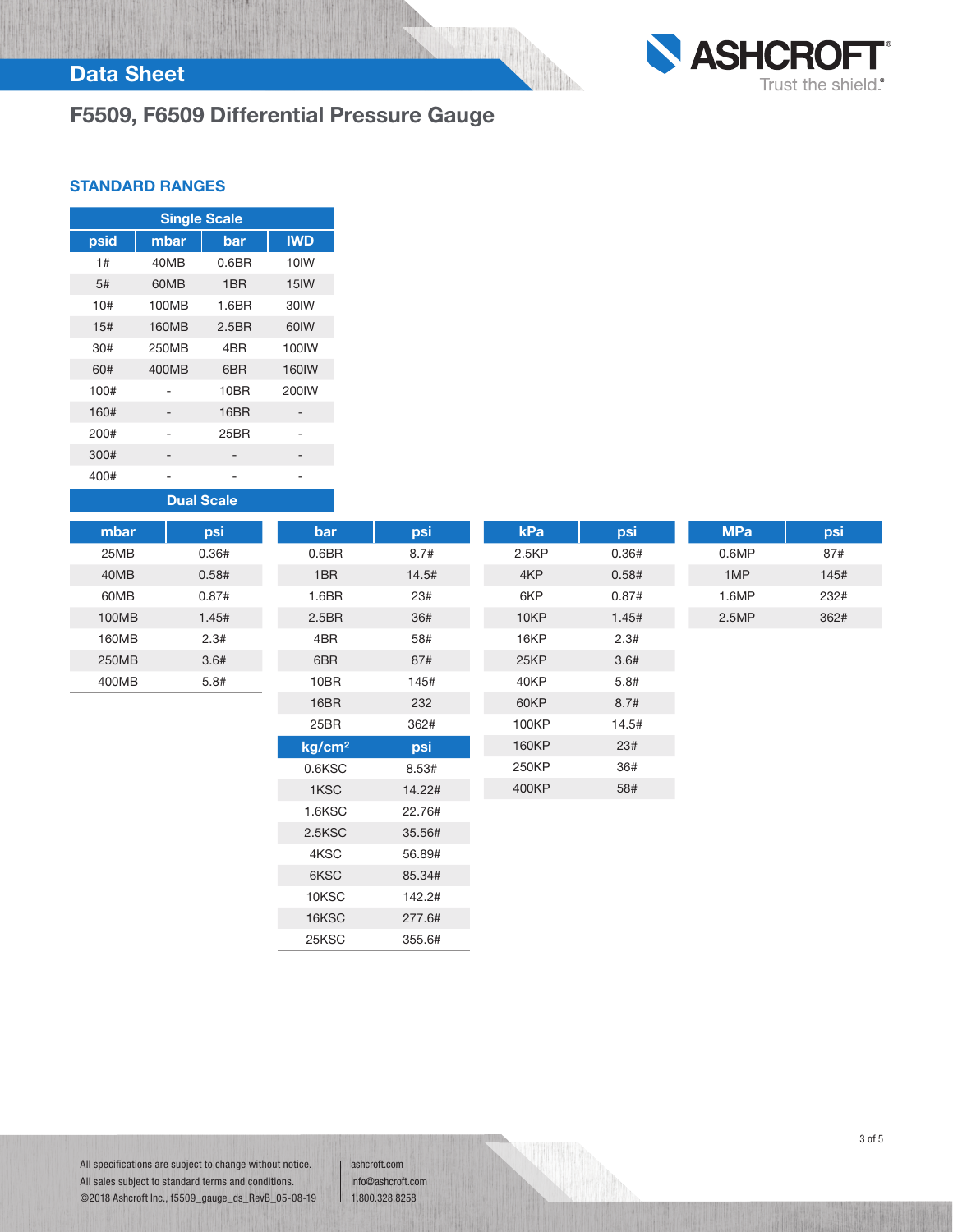## Data Sheet

# F5509, F6509 Differential Pressure Gauge



### STANDARD RANGES

| <b>Single Scale</b> |       |                   |                   |  |  |  |
|---------------------|-------|-------------------|-------------------|--|--|--|
| psid                | mbar  | bar               | <b>IWD</b>        |  |  |  |
| 1#                  | 40MB  | 0.6 <sub>BR</sub> | 10IW              |  |  |  |
| .5#                 | 60MB  | 1BR               | 15IW              |  |  |  |
| 10#                 | 100MB | 1.6BR             | 30IW              |  |  |  |
| 15#                 | 160MB | 2.5 <sub>BR</sub> | 60IW              |  |  |  |
| 30#                 | 250MB | 4 <sub>BR</sub>   | 100 <sub>IW</sub> |  |  |  |
| 60#                 | 400MB | 6BR               | <b>160IW</b>      |  |  |  |
| 100#                |       | 10BR              | 200IW             |  |  |  |
| 160#                |       | 16BR              |                   |  |  |  |
| 200#                |       | 25BR              |                   |  |  |  |
| 300#                |       |                   |                   |  |  |  |
| 400#                |       |                   |                   |  |  |  |

Dual Scale

| mbar  | psi   | bar                | psi    | kPa   | psi   | <b>MPa</b> | psi  |
|-------|-------|--------------------|--------|-------|-------|------------|------|
| 25MB  | 0.36# | 0.6 <sub>BR</sub>  | 8.7#   | 2.5KP | 0.36# | 0.6MP      | 87#  |
| 40MB  | 0.58# | 1BR                | 14.5#  | 4KP   | 0.58# | 1MP        | 145# |
| 60MB  | 0.87# | 1.6 <sub>BR</sub>  | 23#    | 6KP   | 0.87# | 1.6MP      | 232# |
| 100MB | 1.45# | 2.5 <sub>BR</sub>  | 36#    | 10KP  | 1.45# | 2.5MP      | 362# |
| 160MB | 2.3#  | 4BR                | 58#    | 16KP  | 2.3#  |            |      |
| 250MB | 3.6#  | 6BR                | 87#    | 25KP  | 3.6#  |            |      |
| 400MB | 5.8#  | 10BR               | 145#   | 40KP  | 5.8#  |            |      |
|       |       | 16BR               | 232    | 60KP  | 8.7#  |            |      |
|       |       | 25BR               | 362#   | 100KP | 14.5# |            |      |
|       |       | kg/cm <sup>2</sup> | psi    | 160KP | 23#   |            |      |
|       |       | 0.6KSC             | 8.53#  | 250KP | 36#   |            |      |
|       |       | 1KSC               | 14.22# | 400KP | 58#   |            |      |
|       |       | 1.6KSC             | 22.76# |       |       |            |      |
|       |       | 2.5KSC             | 35.56# |       |       |            |      |
|       |       | 4KSC               | 56.89# |       |       |            |      |

All specifications are subject to change without notice. All sales subject to standard terms and conditions. ©2018 Ashcroft Inc., f5509\_gauge\_ds\_RevB\_05-08-19 ashcroft.com info@ashcroft.com 1.800.328.8258

6KSC 85.34# 10KSC 142.2# 16KSC 277.6# 25KSC 355.6#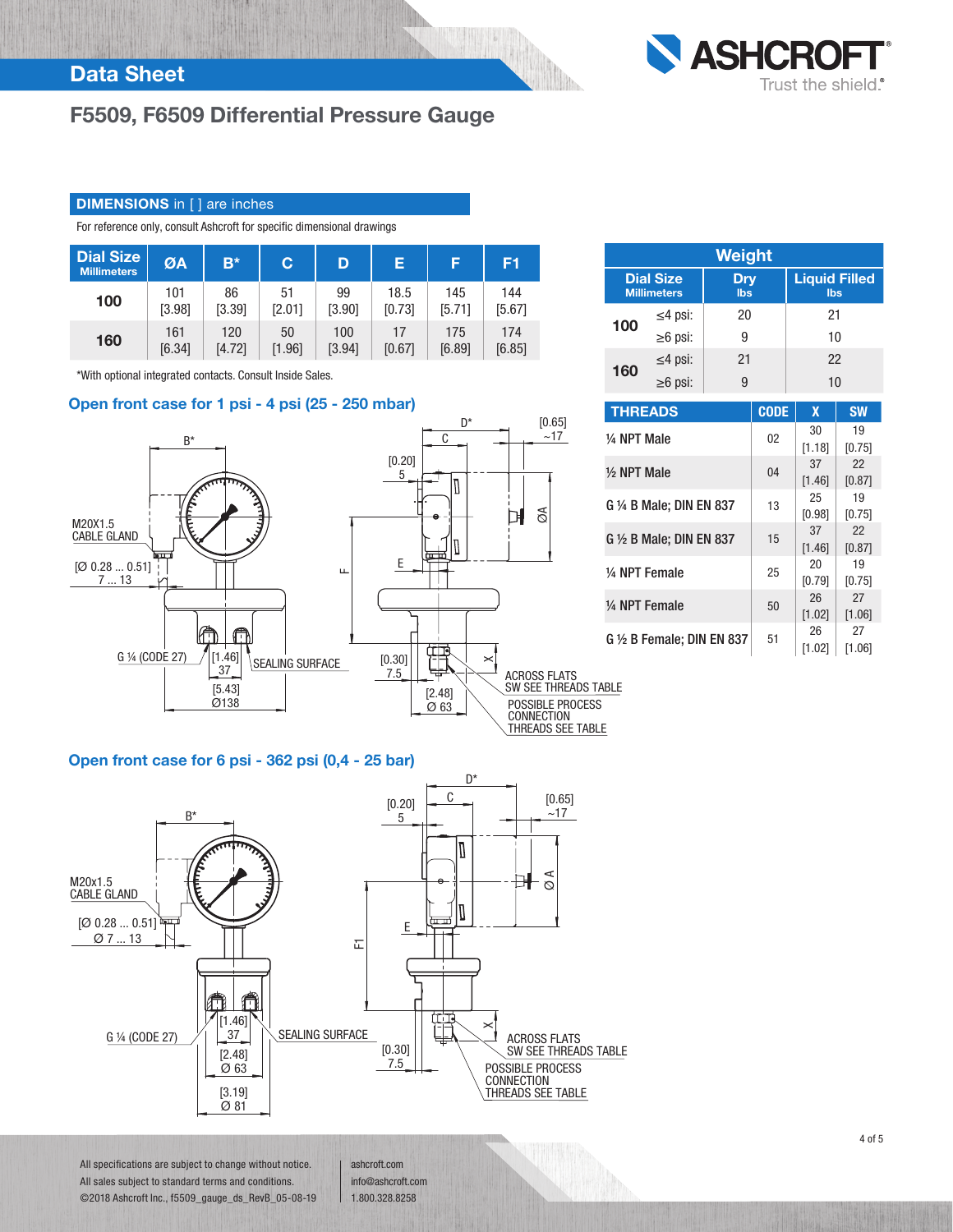## F5509, F6509 Differential Pressure Gauge

## **DIMENSIONS** in [] are inches

For reference only, consult Ashcroft for specific dimensional drawings

| <b>Dial Size</b><br><b>Millimeters</b> | ØA     | $B^*$  | C      | D      | Е      | ß      | F <sub>1</sub> |
|----------------------------------------|--------|--------|--------|--------|--------|--------|----------------|
| 100                                    | 101    | 86     | 51     | 99     | 18.5   | 145    | 144            |
|                                        | [3.98] | [3.39] | [2.01] | [3.90] | [0.73] | [5.71] | [5.67]         |
| 160                                    | 161    | 120    | 50     | 100    | 17     | 175    | 174            |
|                                        | [6.34] | [4.72] | [1.96] | [3.94] | [0.67] | [6.89] | [6.85]         |

\*With optional integrated contacts. Consult Inside Sales.

## Open front case for 1 psi - 4 psi (25 - 250 mbar)



| <b>Weight</b> |                                        |                          |                             |  |  |  |
|---------------|----------------------------------------|--------------------------|-----------------------------|--|--|--|
|               | <b>Dial Size</b><br><b>Millimeters</b> | <b>Dry</b><br><b>lbs</b> | <b>Liquid Filled</b><br>lbs |  |  |  |
| 100           | $\leq$ 4 psi:                          | 20                       | 21                          |  |  |  |
|               | $\geq 6$ psi:                          | g                        | 10                          |  |  |  |
| 160           | $\leq$ 4 psi:                          | 21                       | 22                          |  |  |  |
|               | $\geq 6$ psi:                          |                          | 10                          |  |  |  |

**ASHCRO** 

Trust the shield.<sup>®</sup>

| <b>THREADS</b>                   | <b>CODE</b> | X      | <b>SW</b> |
|----------------------------------|-------------|--------|-----------|
| 1/4 NPT Male                     | 02          | 30     | 19        |
|                                  |             | [1.18] | [0.75]    |
| $\frac{1}{2}$ NPT Male           | 04          | 37     | 22        |
|                                  |             | [1.46] | [0.87]    |
| $G\$ 4B Male; DIN EN 837         | 13          | 25     | 19        |
|                                  |             | [0.98] | [0.75]    |
| $G \nleq B$ Male; DIN EN 837     | 15          | 37     | 22        |
|                                  |             | [1.46] | [0.87]    |
| 1/4 NPT Female                   | 25          | 20     | 19        |
|                                  |             | [0.79] | [0.75]    |
| 1/4 NPT Female                   | 50          | 26     | 27        |
|                                  |             | [1.02] | [1.06]    |
| $G \nmid Z$ B Female: DIN EN 837 | 51          | 26     | 27        |
|                                  |             | [1.02] | [1.06]    |

#### Open front case for 6 psi - 362 psi (0,4 - 25 bar)



All specifications are subject to change without notice. All sales subject to standard terms and conditions. ©2018 Ashcroft Inc., f5509\_gauge\_ds\_RevB\_05-08-19 ashcroft.com info@ashcroft.com 1.800.328.8258